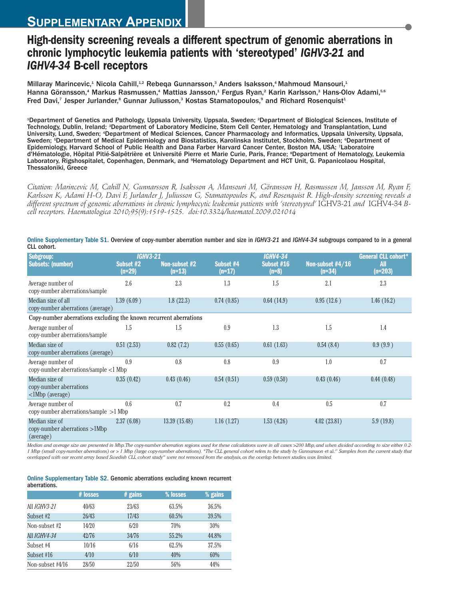## **High-density screening reveals a different spectrum of genomic aberrations in chronic lymphocytic leukemia patients with 'stereotyped'** *IGHV3-21* **and** *IGHV4-34* **B-cell receptors**

Millaray Marincevic,<sup>1</sup> Nicola Cahill,<sup>1,2</sup> Rebeqa Gunnarsson,<sup>3</sup> Anders Isaksson,<sup>4</sup> Mahmoud Mansouri,<sup>1</sup> Hanna Göransson,<sup>4</sup> Markus Rasmussen,<sup>4</sup> Mattias Jansson,<sup>1</sup> Fergus Ryan,<sup>2</sup> Karin Karlsson,<sup>3</sup> Hans-Olov Adami,<sup>5.6</sup> Fred Davi,<sup>7</sup> Jesper Jurlander,<sup>8</sup> Gunnar Juliusson,<sup>3</sup> Kostas Stamatopoulos,<sup>9</sup> and Richard Rosenquist<sup>4</sup>

1 Department of Genetics and Pathology, Uppsala University, Uppsala, Sweden; <sup>2</sup> Department of Biological Sciences, Institute of Technology, Dublin, Ireland; <sup>3</sup>Department of Laboratory Medicine, Stem Cell Center, Hematology and Transplantation, Lund University, Lund, Sweden; <sup>4</sup>Department of Medical Sciences, Cancer Pharmacology and Informatics, Uppsala University, Uppsala, Sweden; <sup>s</sup>Department of Medical Epidemiology and Biostatistics, Karolinska Institutet, Stockholm, Sweden; <sup>s</sup>Department of Epidemiology, Harvard School of Public Health and Dana Farber Harvard Cancer Center, Boston MA, USA; <sup>7</sup> Laboratoire d'Hématologie, Hôpital Pitié-Salpêtrière et Université Pierre et Marie Curie, Paris, France; <sup>s</sup>Department of Hematology, Leukemia Laboratory, Rigshospitalet, Copenhagen, Denmark, and <sup>9</sup>Hematology Department and HCT Unit, G. Papanicolaou Hospital, Thessaloniki, Greece

Citation: Marincevic M, Cahill N, Gunnarsson R, Isaksson A, Mansouri M, Göransson H, Rasmussen M, Jansson M, Ryan F, Karlsson K, Adami H-O, Davi F, Jurlander J, Juliusson G, Stamatopoulos K, and Rosenquist R. High-density screening reveals a different spectrum of genomic aberrations in chronic lymphocytic leukemia patients with 'stereotyped' IGHV3-21 and IGHV4-34 B*cell receptors. Haematologica 2010;95(9):1519-1525. doi:10.3324/haematol.2009.021014*

| Subgroup:                                                             | <b>IGHV3-21</b>     |                           |                       | <b>IGHV4-34</b>       |                            | <b>General CLL cohort*</b> |  |
|-----------------------------------------------------------------------|---------------------|---------------------------|-----------------------|-----------------------|----------------------------|----------------------------|--|
| <b>Subsets: (number)</b>                                              | Subset #2<br>(n=29) | Non-subset #2<br>$(n=13)$ | Subset #4<br>$(n=17)$ | Subset #16<br>$(n=8)$ | Non-subset #4/16<br>(n=34) | <b>All</b><br>$(n=203)$    |  |
| Average number of<br>copy-number aberrations/sample                   | 2.6                 | 2.3                       | 1.3                   | 1.5                   | 2.1                        | 2.3                        |  |
| Median size of all<br>copy-number aberrations (average)               | 1.39(6.09)          | 1.8(22.3)                 | 0.74(0.85)            | 0.64(14.9)            | 0.95(12.6)                 | 1.46(16.2)                 |  |
| Copy-number aberrations excluding the known recurrent aberrations     |                     |                           |                       |                       |                            |                            |  |
| Average number of<br>copy-number aberrations/sample                   | 1.5                 | 1.5                       | 0.9                   | 1.3                   | 1.5                        | 1.4                        |  |
| Median size of<br>copy-number aberrations (average)                   | 0.51(2.53)          | 0.82(7.2)                 | 0.55(0.65)            | 0.61(1.63)            | 0.54(8.4)                  | 0.9(9.9)                   |  |
| Average number of<br>copy-number aberrations/sample <1 Mbp            | 0.9                 | 0.8                       | 0.8                   | 0.9                   | 1.0                        | 0.7                        |  |
| Median size of<br>copy-number aberrations<br>$\langle$ 1Mbp (average) | 0.35(0.42)          | 0.43(0.46)                | 0.54(0.51)            | 0.59(0.50)            | 0.43(0.46)                 | 0.44(0.48)                 |  |
| Average number of<br>copy-number aberrations/sample >1 Mbp            | 0.6                 | 0.7                       | 0.2                   | 0.4                   | 0.5                        | 0.7                        |  |
| Median size of<br>$copy-number$ aberrations $>1Mbp$<br>(average)      | 2.37(6.08)          | 13.39 (15.48)             | 1.16(1.27)            | 1.53(4.26)            | 4.02(23.81)                | 5.9(19.8)                  |  |

Online Supplementary Table S1. Overview of copy-number aberration number and size in *IGHV3-21* and *IGHV4-34* subgroups compared to in a general CLL cohort.

Median and average size are presented in Mbp. The copy-number aberration regions used for these calculations were in all cases >200 Mbp, and when divided according to size either 0.2-1 Mbp (small copy-number aberrations) or > 1 Mbp (large copy-number aberrations). \*The CLL general cohort refers to the study by Gunnarsson et al.<sup>23</sup> Samples from the current study that overlapped with our recent array based Swedish CLL cohort study<sup>36</sup> were not removed from the analysis, as the overlap between studies was limited.

## Online Supplementary Table S2. Genomic aberrations excluding known recurrent aberrations.

|                     | # losses | $#$ gains | % losses | % gains |
|---------------------|----------|-----------|----------|---------|
| All <i>IGHV3-21</i> | 40/63    | 23/63     | 63.5%    | 36.5%   |
| Subset #2           | 26/43    | 17/43     | 60.5%    | 39.5%   |
| Non-subset #2       | 14/20    | 6/20      | 70%      | 30%     |
| All <i>IGHV4-34</i> | 42/76    | 34/76     | 55.2%    | 44.8%   |
| Subset #4           | 10/16    | 6/16      | 62.5%    | 37.5%   |
| Subset #16          | 4/10     | 6/10      | 40%      | 60%     |
| Non-subset #4/16    | 28/50    | 22/50     | 56%      | 44%     |